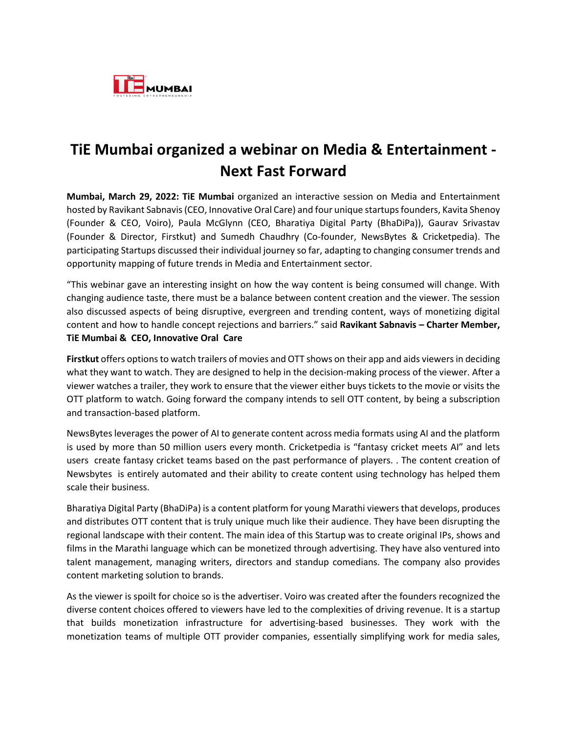

## **TiE Mumbai organized a webinar on Media & Entertainment - Next Fast Forward**

**Mumbai, March 29, 2022: TiE Mumbai** organized an interactive session on Media and Entertainment hosted by Ravikant Sabnavis (CEO, Innovative Oral Care) and four unique startupsfounders, Kavita Shenoy (Founder & CEO, Voiro), Paula McGlynn (CEO, Bharatiya Digital Party (BhaDiPa)), Gaurav Srivastav (Founder & Director, Firstkut) and Sumedh Chaudhry (Co-founder, NewsBytes & Cricketpedia). The participating Startups discussed their individual journey so far, adapting to changing consumer trends and opportunity mapping of future trends in Media and Entertainment sector.

"This webinar gave an interesting insight on how the way content is being consumed will change. With changing audience taste, there must be a balance between content creation and the viewer. The session also discussed aspects of being disruptive, evergreen and trending content, ways of monetizing digital content and how to handle concept rejections and barriers." said **Ravikant Sabnavis – Charter Member, TiE Mumbai & CEO, Innovative Oral Care** 

**Firstkut** offers options to watch trailers of movies and OTT shows on their app and aids viewers in deciding what they want to watch. They are designed to help in the decision-making process of the viewer. After a viewer watches a trailer, they work to ensure that the viewer either buys tickets to the movie or visits the OTT platform to watch. Going forward the company intends to sell OTT content, by being a subscription and transaction-based platform.

NewsBytes leverages the power of AI to generate content across media formats using AI and the platform is used by more than 50 million users every month. Cricketpedia is "fantasy cricket meets AI" and lets users create fantasy cricket teams based on the past performance of players. . The content creation of Newsbytes is entirely automated and their ability to create content using technology has helped them scale their business.

Bharatiya Digital Party (BhaDiPa) is a content platform for young Marathi viewers that develops, produces and distributes OTT content that is truly unique much like their audience. They have been disrupting the regional landscape with their content. The main idea of this Startup was to create original IPs, shows and films in the Marathi language which can be monetized through advertising. They have also ventured into talent management, managing writers, directors and standup comedians. The company also provides content marketing solution to brands.

As the viewer is spoilt for choice so is the advertiser. Voiro was created after the founders recognized the diverse content choices offered to viewers have led to the complexities of driving revenue. It is a startup that builds monetization infrastructure for advertising-based businesses. They work with the monetization teams of multiple OTT provider companies, essentially simplifying work for media sales,